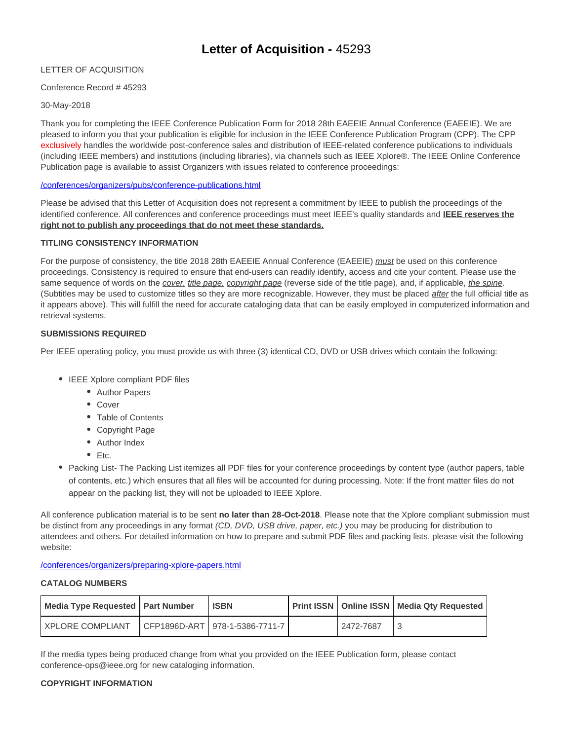# **Letter of Acquisition -** 45293

## LETTER OF ACQUISITION

## Conference Record # 45293

### 30-May-2018

Thank you for completing the IEEE Conference Publication Form for 2018 28th EAEEIE Annual Conference (EAEEIE). We are pleased to inform you that your publication is eligible for inclusion in the IEEE Conference Publication Program (CPP). The CPP exclusively handles the worldwide post-conference sales and distribution of IEEE-related conference publications to individuals (including IEEE members) and institutions (including libraries), via channels such as IEEE Xplore®. The IEEE Online Conference Publication page is available to assist Organizers with issues related to conference proceedings:

### /conferences/organizers/pubs/conference-publications.html

Please be advised that this Letter of Acquisition does not represent a commitment by IEEE to publish the proceedings of the identified conference. All conferences and conference proceedings must meet IEEE's quality standards and **IEEE reserves the right not to publish any proceedings that do not meet these standards.**

## **TITLING CONSISTENCY INFORMATION**

For the purpose of consistency, the title 2018 28th EAEEIE Annual Conference (EAEEIE) must be used on this conference proceedings. Consistency is required to ensure that end-users can readily identify, access and cite your content. Please use the same sequence of words on the cover, title page, copyright page (reverse side of the title page), and, if applicable, the spine. (Subtitles may be used to customize titles so they are more recognizable. However, they must be placed *after* the full official title as it appears above). This will fulfill the need for accurate cataloging data that can be easily employed in computerized information and retrieval systems.

### **SUBMISSIONS REQUIRED**

Per IEEE operating policy, you must provide us with three (3) identical CD, DVD or USB drives which contain the following:

- IEEE Xplore compliant PDF files
	- Author Papers
	- Cover
	- Table of Contents
	- Copyright Page
	- Author Index
	- $E_{\text{t}}$
- Packing List- The Packing List itemizes all PDF files for your conference proceedings by content type (author papers, table of contents, etc.) which ensures that all files will be accounted for during processing. Note: If the front matter files do not appear on the packing list, they will not be uploaded to IEEE Xplore.

All conference publication material is to be sent **no later than 28-Oct-2018**. Please note that the Xplore compliant submission must be distinct from any proceedings in any format (CD, DVD, USB drive, paper, etc.) you may be producing for distribution to attendees and others. For detailed information on how to prepare and submit PDF files and packing lists, please visit the following website:

/conferences/organizers/preparing-xplore-papers.html

### **CATALOG NUMBERS**

| Media Type Requested   Part Number | <b>ISBN</b>                      |           | <b>Print ISSN   Online ISSN   Media Qty Requested  </b> |
|------------------------------------|----------------------------------|-----------|---------------------------------------------------------|
| <b>I XPLORE COMPLIANT</b>          | CFP1896D-ART   978-1-5386-7711-7 | 2472-7687 |                                                         |

If the media types being produced change from what you provided on the IEEE Publication form, please contact conference-ops@ieee.org for new cataloging information.

## **COPYRIGHT INFORMATION**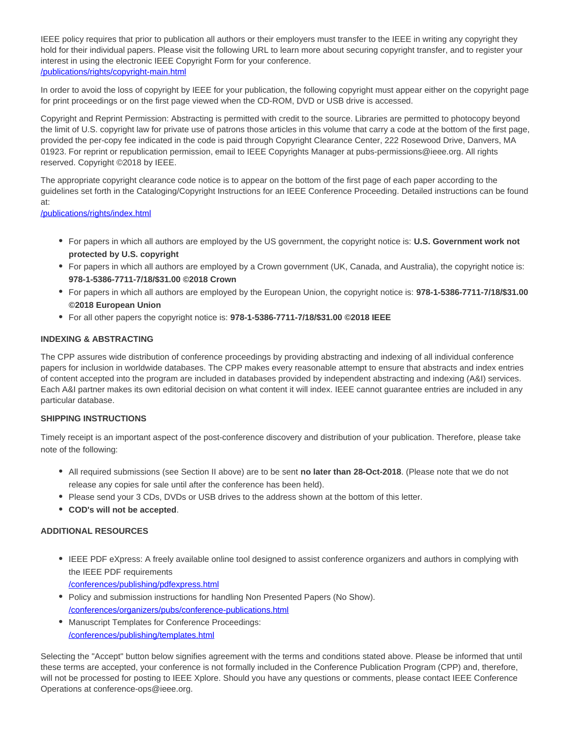IEEE policy requires that prior to publication all authors or their employers must transfer to the IEEE in writing any copyright they hold for their individual papers. Please visit the following URL to learn more about securing copyright transfer, and to register your interest in using the electronic IEEE Copyright Form for your conference. /publications/rights/copyright-main.html

In order to avoid the loss of copyright by IEEE for your publication, the following copyright must appear either on the copyright page for print proceedings or on the first page viewed when the CD-ROM, DVD or USB drive is accessed.

Copyright and Reprint Permission: Abstracting is permitted with credit to the source. Libraries are permitted to photocopy beyond the limit of U.S. copyright law for private use of patrons those articles in this volume that carry a code at the bottom of the first page, provided the per-copy fee indicated in the code is paid through Copyright Clearance Center, 222 Rosewood Drive, Danvers, MA 01923. For reprint or republication permission, email to IEEE Copyrights Manager at pubs-permissions@ieee.org. All rights reserved. Copyright ©2018 by IEEE.

The appropriate copyright clearance code notice is to appear on the bottom of the first page of each paper according to the guidelines set forth in the Cataloging/Copyright Instructions for an IEEE Conference Proceeding. Detailed instructions can be found at:

/publications/rights/index.html

- For papers in which all authors are employed by the US government, the copyright notice is: **U.S. Government work not protected by U.S. copyright**
- For papers in which all authors are employed by a Crown government (UK, Canada, and Australia), the copyright notice is: **978-1-5386-7711-7/18/\$31.00 ©2018 Crown**
- For papers in which all authors are employed by the European Union, the copyright notice is: **978-1-5386-7711-7/18/\$31.00 ©2018 European Union**
- For all other papers the copyright notice is: **978-1-5386-7711-7/18/\$31.00 ©2018 IEEE**

## **INDEXING & ABSTRACTING**

The CPP assures wide distribution of conference proceedings by providing abstracting and indexing of all individual conference papers for inclusion in worldwide databases. The CPP makes every reasonable attempt to ensure that abstracts and index entries of content accepted into the program are included in databases provided by independent abstracting and indexing (A&I) services. Each A&I partner makes its own editorial decision on what content it will index. IEEE cannot guarantee entries are included in any particular database.

#### **SHIPPING INSTRUCTIONS**

Timely receipt is an important aspect of the post-conference discovery and distribution of your publication. Therefore, please take note of the following:

- All required submissions (see Section II above) are to be sent **no later than 28-Oct-2018**. (Please note that we do not release any copies for sale until after the conference has been held).
- Please send your 3 CDs, DVDs or USB drives to the address shown at the bottom of this letter.
- **COD's will not be accepted**.

## **ADDITIONAL RESOURCES**

IEEE PDF eXpress: A freely available online tool designed to assist conference organizers and authors in complying with the IEEE PDF requirements

/conferences/publishing/pdfexpress.html

- Policy and submission instructions for handling Non Presented Papers (No Show). /conferences/organizers/pubs/conference-publications.html
- Manuscript Templates for Conference Proceedings: /conferences/publishing/templates.html

Selecting the "Accept" button below signifies agreement with the terms and conditions stated above. Please be informed that until these terms are accepted, your conference is not formally included in the Conference Publication Program (CPP) and, therefore, will not be processed for posting to IEEE Xplore. Should you have any questions or comments, please contact IEEE Conference Operations at conference-ops@ieee.org.